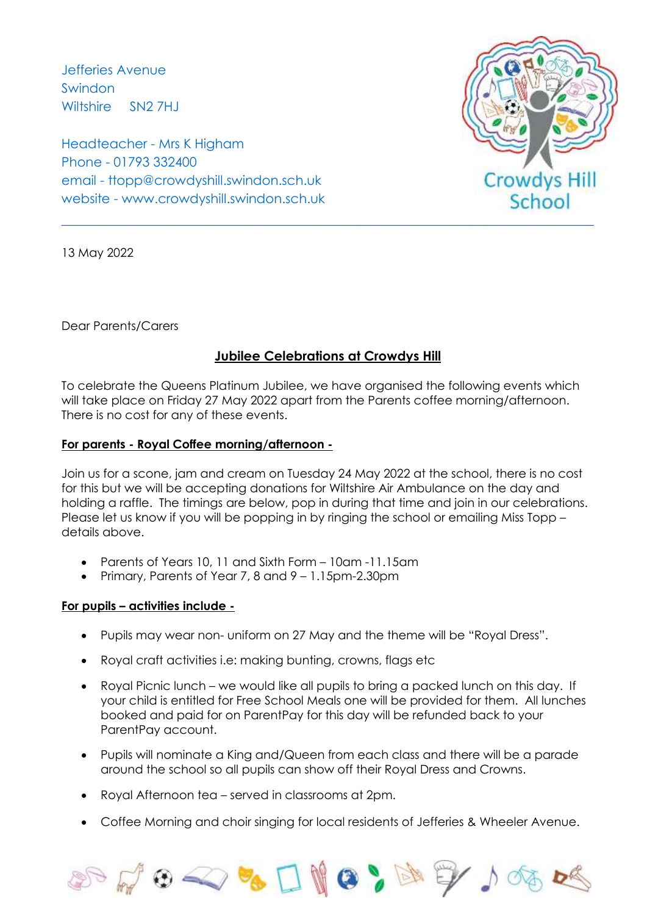Jefferies Avenue Swindon Wiltshire SN2 7HJ

Headteacher - Mrs K Higham Phone - 01793 332400 email - ttopp@crowdyshill.swindon.sch.uk website - www.crowdyshill.swindon.sch.uk



13 May 2022

Dear Parents/Carers

## **Jubilee Celebrations at Crowdys Hill**

To celebrate the Queens Platinum Jubilee, we have organised the following events which will take place on Friday 27 May 2022 apart from the Parents coffee morning/afternoon. There is no cost for any of these events.

## **For parents - Royal Coffee morning/afternoon -**

Join us for a scone, jam and cream on Tuesday 24 May 2022 at the school, there is no cost for this but we will be accepting donations for Wiltshire Air Ambulance on the day and holding a raffle. The timings are below, pop in during that time and join in our celebrations. Please let us know if you will be popping in by ringing the school or emailing Miss Topp – details above.

- Parents of Years 10, 11 and Sixth Form 10am -11.15am
- Primary, Parents of Year 7, 8 and 9 1.15pm-2.30pm

## **For pupils – activities include -**

- Pupils may wear non- uniform on 27 May and the theme will be "Royal Dress".
- Royal craft activities i.e: making bunting, crowns, flags etc
- Royal Picnic lunch we would like all pupils to bring a packed lunch on this day. If your child is entitled for Free School Meals one will be provided for them. All lunches booked and paid for on ParentPay for this day will be refunded back to your ParentPay account.
- Pupils will nominate a King and/Queen from each class and there will be a parade around the school so all pupils can show off their Royal Dress and Crowns.
- Royal Afternoon tea served in classrooms at 2pm.
- Coffee Morning and choir singing for local residents of Jefferies & Wheeler Avenue.